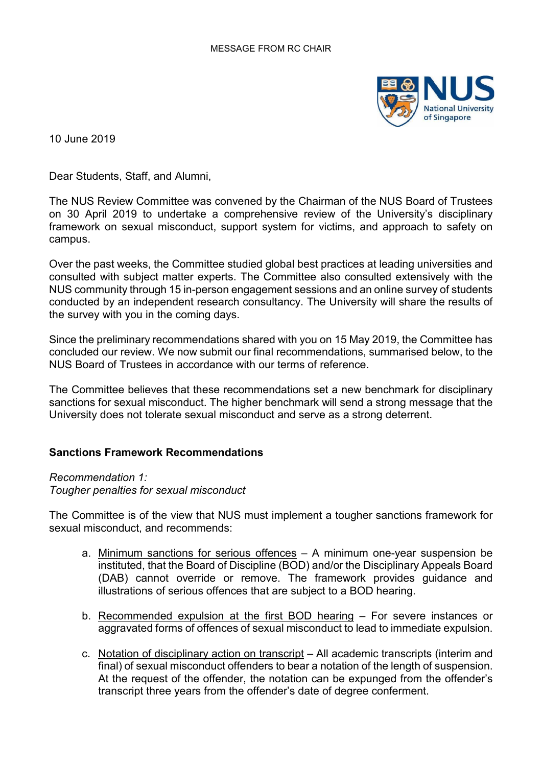

10 June 2019

Dear Students, Staff, and Alumni,

The NUS Review Committee was convened by the Chairman of the NUS Board of Trustees on 30 April 2019 to undertake a comprehensive review of the University's disciplinary framework on sexual misconduct, support system for victims, and approach to safety on campus.

Over the past weeks, the Committee studied global best practices at leading universities and consulted with subject matter experts. The Committee also consulted extensively with the NUS community through 15 in-person engagement sessions and an online survey of students conducted by an independent research consultancy. The University will share the results of the survey with you in the coming days.

Since the preliminary recommendations shared with you on 15 May 2019, the Committee has concluded our review. We now submit our final recommendations, summarised below, to the NUS Board of Trustees in accordance with our terms of reference.

The Committee believes that these recommendations set a new benchmark for disciplinary sanctions for sexual misconduct. The higher benchmark will send a strong message that the University does not tolerate sexual misconduct and serve as a strong deterrent.

# **Sanctions Framework Recommendations**

#### *Recommendation 1:*

#### *Tougher penalties for sexual misconduct*

The Committee is of the view that NUS must implement a tougher sanctions framework for sexual misconduct, and recommends:

- a. Minimum sanctions for serious offences A minimum one-year suspension be instituted, that the Board of Discipline (BOD) and/or the Disciplinary Appeals Board (DAB) cannot override or remove. The framework provides guidance and illustrations of serious offences that are subject to a BOD hearing.
- b. Recommended expulsion at the first BOD hearing For severe instances or aggravated forms of offences of sexual misconduct to lead to immediate expulsion.
- c. Notation of disciplinary action on transcript All academic transcripts (interim and final) of sexual misconduct offenders to bear a notation of the length of suspension. At the request of the offender, the notation can be expunged from the offender's transcript three years from the offender's date of degree conferment.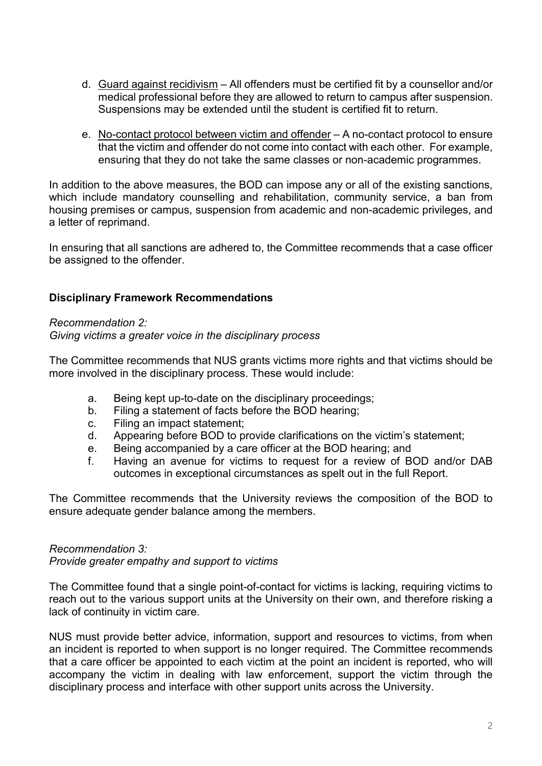- d. Guard against recidivism All offenders must be certified fit by a counsellor and/or medical professional before they are allowed to return to campus after suspension. Suspensions may be extended until the student is certified fit to return.
- e. No-contact protocol between victim and offender A no-contact protocol to ensure that the victim and offender do not come into contact with each other. For example, ensuring that they do not take the same classes or non-academic programmes.

In addition to the above measures, the BOD can impose any or all of the existing sanctions, which include mandatory counselling and rehabilitation, community service, a ban from housing premises or campus, suspension from academic and non-academic privileges, and a letter of reprimand.

In ensuring that all sanctions are adhered to, the Committee recommends that a case officer be assigned to the offender.

# **Disciplinary Framework Recommendations**

### *Recommendation 2:*

### *Giving victims a greater voice in the disciplinary process*

The Committee recommends that NUS grants victims more rights and that victims should be more involved in the disciplinary process. These would include:

- a. Being kept up-to-date on the disciplinary proceedings;
- b. Filing a statement of facts before the BOD hearing;
- c. Filing an impact statement;
- d. Appearing before BOD to provide clarifications on the victim's statement;
- e. Being accompanied by a care officer at the BOD hearing; and
- f. Having an avenue for victims to request for a review of BOD and/or DAB outcomes in exceptional circumstances as spelt out in the full Report.

The Committee recommends that the University reviews the composition of the BOD to ensure adequate gender balance among the members.

# *Recommendation 3:*

*Provide greater empathy and support to victims*

The Committee found that a single point-of-contact for victims is lacking, requiring victims to reach out to the various support units at the University on their own, and therefore risking a lack of continuity in victim care.

NUS must provide better advice, information, support and resources to victims, from when an incident is reported to when support is no longer required. The Committee recommends that a care officer be appointed to each victim at the point an incident is reported, who will accompany the victim in dealing with law enforcement, support the victim through the disciplinary process and interface with other support units across the University.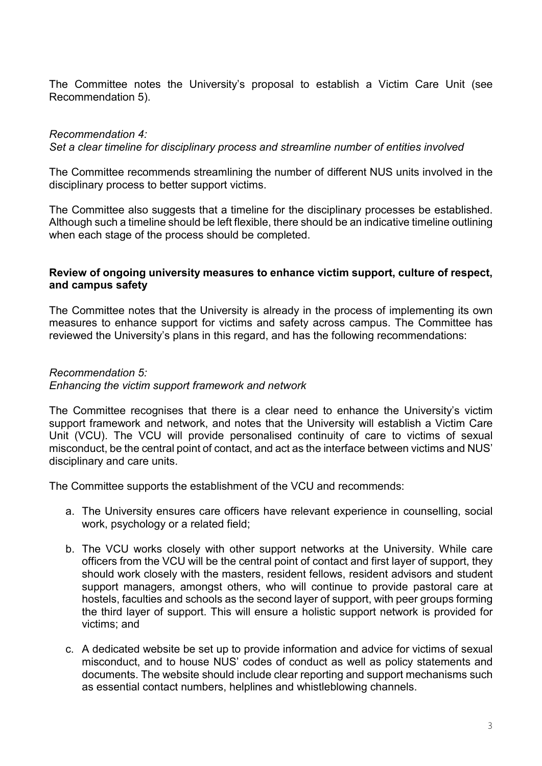The Committee notes the University's proposal to establish a Victim Care Unit (see Recommendation 5).

### *Recommendation 4:*

*Set a clear timeline for disciplinary process and streamline number of entities involved*

The Committee recommends streamlining the number of different NUS units involved in the disciplinary process to better support victims.

The Committee also suggests that a timeline for the disciplinary processes be established. Although such a timeline should be left flexible, there should be an indicative timeline outlining when each stage of the process should be completed.

### **Review of ongoing university measures to enhance victim support, culture of respect, and campus safety**

The Committee notes that the University is already in the process of implementing its own measures to enhance support for victims and safety across campus. The Committee has reviewed the University's plans in this regard, and has the following recommendations:

# *Recommendation 5:*

#### *Enhancing the victim support framework and network*

The Committee recognises that there is a clear need to enhance the University's victim support framework and network, and notes that the University will establish a Victim Care Unit (VCU). The VCU will provide personalised continuity of care to victims of sexual misconduct, be the central point of contact, and act as the interface between victims and NUS' disciplinary and care units.

The Committee supports the establishment of the VCU and recommends:

- a. The University ensures care officers have relevant experience in counselling, social work, psychology or a related field;
- b. The VCU works closely with other support networks at the University. While care officers from the VCU will be the central point of contact and first layer of support, they should work closely with the masters, resident fellows, resident advisors and student support managers, amongst others, who will continue to provide pastoral care at hostels, faculties and schools as the second layer of support, with peer groups forming the third layer of support. This will ensure a holistic support network is provided for victims; and
- c. A dedicated website be set up to provide information and advice for victims of sexual misconduct, and to house NUS' codes of conduct as well as policy statements and documents. The website should include clear reporting and support mechanisms such as essential contact numbers, helplines and whistleblowing channels.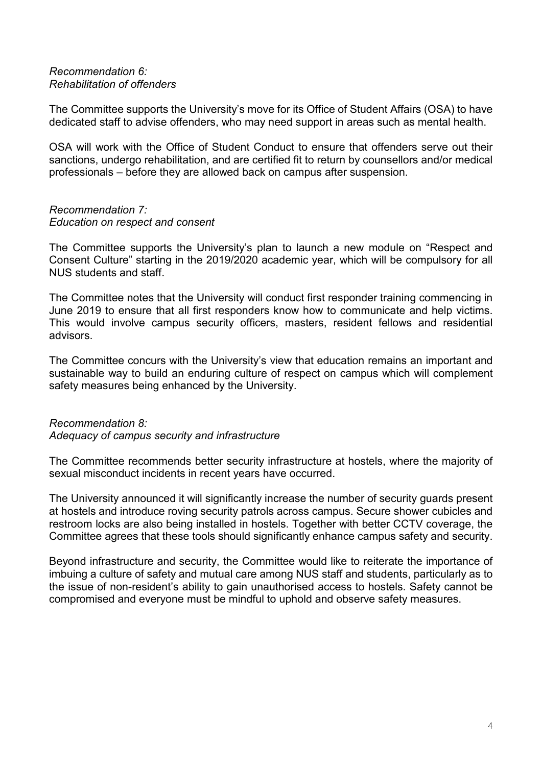#### *Recommendation 6: Rehabilitation of offenders*

The Committee supports the University's move for its Office of Student Affairs (OSA) to have dedicated staff to advise offenders, who may need support in areas such as mental health.

OSA will work with the Office of Student Conduct to ensure that offenders serve out their sanctions, undergo rehabilitation, and are certified fit to return by counsellors and/or medical professionals – before they are allowed back on campus after suspension.

## *Recommendation 7: Education on respect and consent*

The Committee supports the University's plan to launch a new module on "Respect and Consent Culture" starting in the 2019/2020 academic year, which will be compulsory for all NUS students and staff.

The Committee notes that the University will conduct first responder training commencing in June 2019 to ensure that all first responders know how to communicate and help victims. This would involve campus security officers, masters, resident fellows and residential advisors.

The Committee concurs with the University's view that education remains an important and sustainable way to build an enduring culture of respect on campus which will complement safety measures being enhanced by the University.

### *Recommendation 8: Adequacy of campus security and infrastructure*

The Committee recommends better security infrastructure at hostels, where the majority of sexual misconduct incidents in recent years have occurred.

The University announced it will significantly increase the number of security guards present at hostels and introduce roving security patrols across campus. Secure shower cubicles and restroom locks are also being installed in hostels. Together with better CCTV coverage, the Committee agrees that these tools should significantly enhance campus safety and security.

Beyond infrastructure and security, the Committee would like to reiterate the importance of imbuing a culture of safety and mutual care among NUS staff and students, particularly as to the issue of non-resident's ability to gain unauthorised access to hostels. Safety cannot be compromised and everyone must be mindful to uphold and observe safety measures.